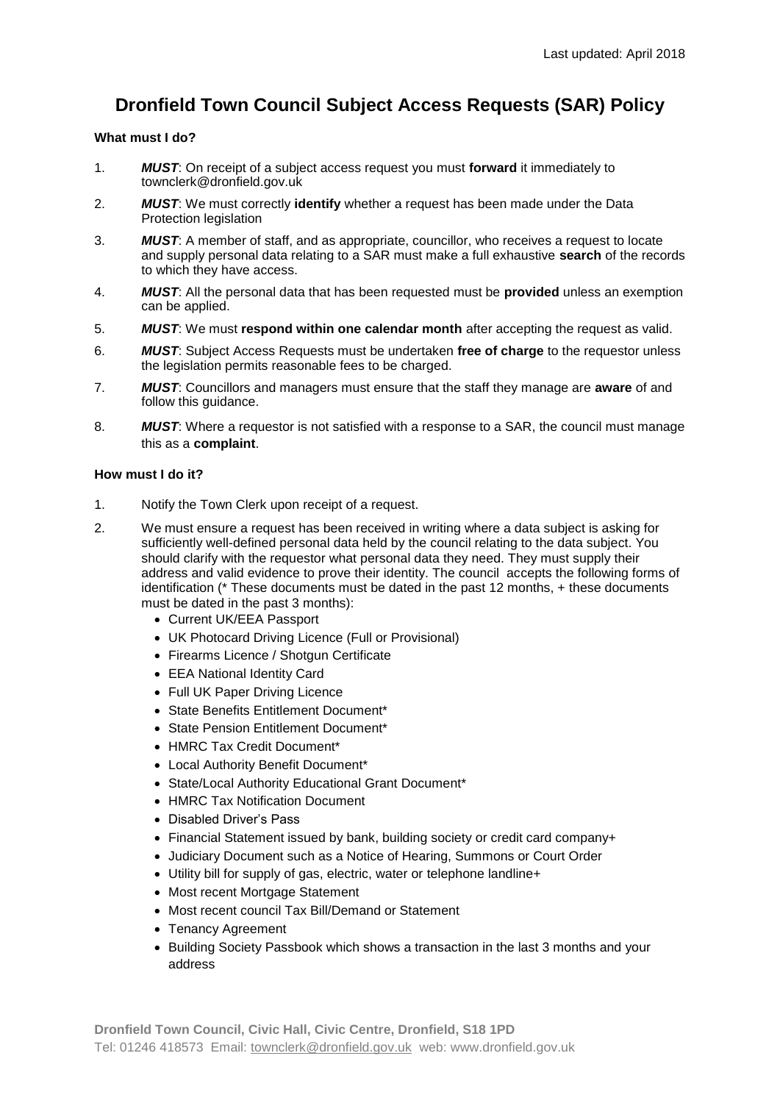# **Dronfield Town Council Subject Access Requests (SAR) Policy**

## **What must I do?**

- 1. *MUST*: On receipt of a subject access request you must **forward** it immediately to townclerk@dronfield.gov.uk
- 2. *MUST*: We must correctly **identify** whether a request has been made under the Data Protection legislation
- 3. *MUST*: A member of staff, and as appropriate, councillor, who receives a request to locate and supply personal data relating to a SAR must make a full exhaustive **search** of the records to which they have access.
- 4. *MUST*: All the personal data that has been requested must be **provided** unless an exemption can be applied.
- 5. *MUST*: We must **respond within one calendar month** after accepting the request as valid.
- 6. *MUST*: Subject Access Requests must be undertaken **free of charge** to the requestor unless the legislation permits reasonable fees to be charged.
- 7. *MUST*: Councillors and managers must ensure that the staff they manage are **aware** of and follow this guidance.
- 8. *MUST*: Where a requestor is not satisfied with a response to a SAR, the council must manage this as a **complaint**.

### **How must I do it?**

- 1. Notify the Town Clerk upon receipt of a request.
- 2. We must ensure a request has been received in writing where a data subject is asking for sufficiently well-defined personal data held by the council relating to the data subject. You should clarify with the requestor what personal data they need. They must supply their address and valid evidence to prove their identity. The council accepts the following forms of identification (\* These documents must be dated in the past 12 months, + these documents must be dated in the past 3 months):
	- Current UK/EEA Passport
	- UK Photocard Driving Licence (Full or Provisional)
	- Firearms Licence / Shotgun Certificate
	- EEA National Identity Card
	- Full UK Paper Driving Licence
	- State Benefits Entitlement Document\*
	- State Pension Entitlement Document\*
	- HMRC Tax Credit Document\*
	- Local Authority Benefit Document\*
	- State/Local Authority Educational Grant Document\*
	- HMRC Tax Notification Document
	- Disabled Driver's Pass
	- Financial Statement issued by bank, building society or credit card company+
	- Judiciary Document such as a Notice of Hearing, Summons or Court Order
	- Utility bill for supply of gas, electric, water or telephone landline+
	- Most recent Mortgage Statement
	- Most recent council Tax Bill/Demand or Statement
	- Tenancy Agreement
	- Building Society Passbook which shows a transaction in the last 3 months and your address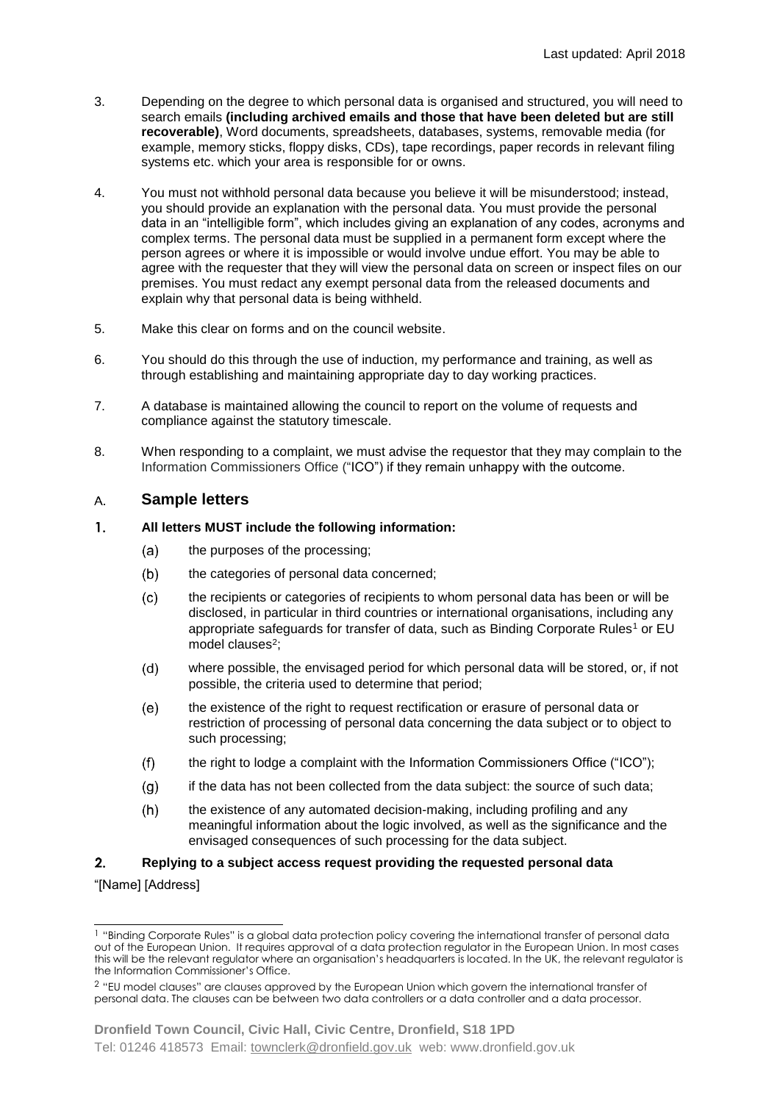- 3. Depending on the degree to which personal data is organised and structured, you will need to search emails **(including archived emails and those that have been deleted but are still recoverable)**, Word documents, spreadsheets, databases, systems, removable media (for example, memory sticks, floppy disks, CDs), tape recordings, paper records in relevant filing systems etc. which your area is responsible for or owns.
- 4. You must not withhold personal data because you believe it will be misunderstood; instead, you should provide an explanation with the personal data. You must provide the personal data in an "intelligible form", which includes giving an explanation of any codes, acronyms and complex terms. The personal data must be supplied in a permanent form except where the person agrees or where it is impossible or would involve undue effort. You may be able to agree with the requester that they will view the personal data on screen or inspect files on our premises. You must redact any exempt personal data from the released documents and explain why that personal data is being withheld.
- 5. Make this clear on forms and on the council website.
- 6. You should do this through the use of induction, my performance and training, as well as through establishing and maintaining appropriate day to day working practices.
- 7. A database is maintained allowing the council to report on the volume of requests and compliance against the statutory timescale.
- 8. When responding to a complaint, we must advise the requestor that they may complain to the Information Commissioners Office ("ICO") if they remain unhappy with the outcome.

#### **Sample letters**  $A_{1}$

#### $\mathbf{1}$ **All letters MUST include the following information:**

- $(a)$ the purposes of the processing;
- $(b)$ the categories of personal data concerned;
- $(c)$ the recipients or categories of recipients to whom personal data has been or will be disclosed, in particular in third countries or international organisations, including any appropriate safeguards for transfer of data, such as Binding Corporate Rules<sup>1</sup> or EU model clauses<sup>2</sup>;
- $(d)$ where possible, the envisaged period for which personal data will be stored, or, if not possible, the criteria used to determine that period;
- $(e)$ the existence of the right to request rectification or erasure of personal data or restriction of processing of personal data concerning the data subject or to object to such processing;
- $(f)$ the right to lodge a complaint with the Information Commissioners Office ("ICO");
- $(a)$ if the data has not been collected from the data subject: the source of such data;
- the existence of any automated decision-making, including profiling and any  $(h)$ meaningful information about the logic involved, as well as the significance and the envisaged consequences of such processing for the data subject.

#### $2<sub>1</sub>$ **Replying to a subject access request providing the requested personal data**

#### "[Name] [Address]

 $\overline{a}$ <sup>1</sup> "Binding Corporate Rules" is a global data protection policy covering the international transfer of personal data out of the European Union. It requires approval of a data protection regulator in the European Union. In most cases this will be the relevant regulator where an organisation's headquarters is located. In the UK, the relevant regulator is the Information Commissioner's Office.

<sup>2</sup> "EU model clauses" are clauses approved by the European Union which govern the international transfer of personal data. The clauses can be between two data controllers or a data controller and a data processor.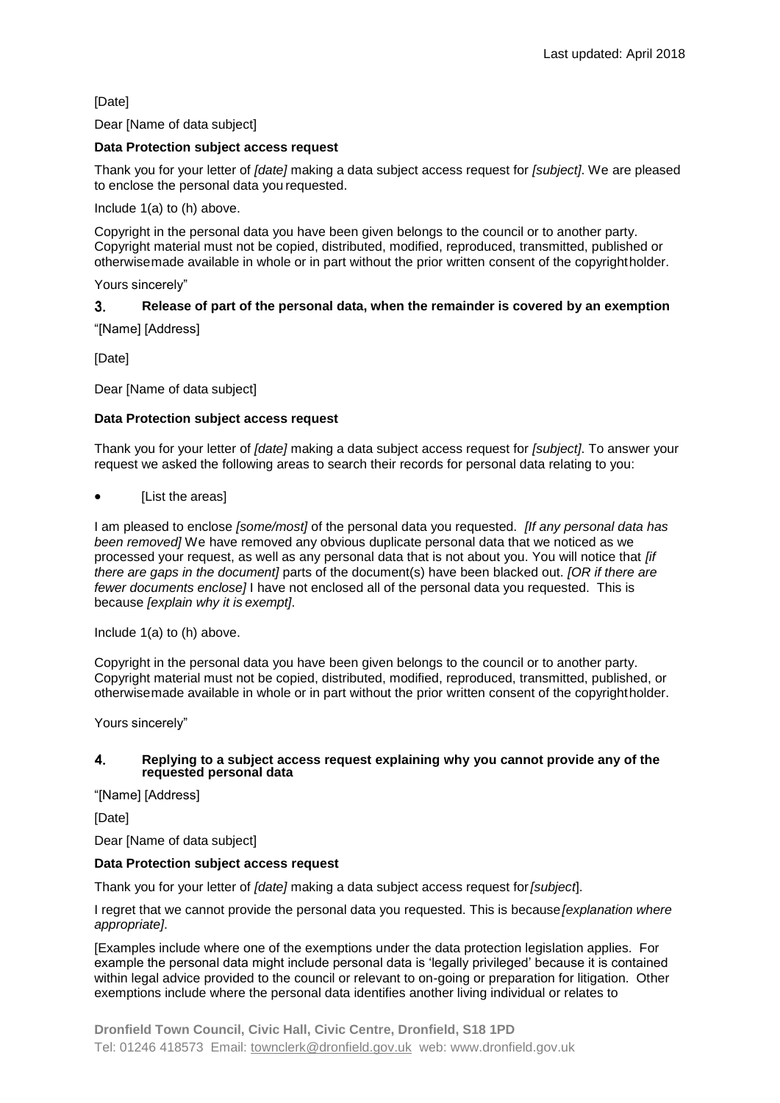[Date]

### Dear [Name of data subject]

## **Data Protection subject access request**

Thank you for your letter of *[date]* making a data subject access request for *[subject]*. We are pleased to enclose the personal data you requested.

Include 1(a) to (h) above.

Copyright in the personal data you have been given belongs to the council or to another party. Copyright material must not be copied, distributed, modified, reproduced, transmitted, published or otherwisemade available in whole or in part without the prior written consent of the copyrightholder.

Yours sincerely"

#### **Release of part of the personal data, when the remainder is covered by an exemption**   $3.$

"[Name] [Address]

[Date]

Dear [Name of data subject]

### **Data Protection subject access request**

Thank you for your letter of *[date]* making a data subject access request for *[subject]*. To answer your request we asked the following areas to search their records for personal data relating to you:

**IList the areas1** 

I am pleased to enclose *[some/most]* of the personal data you requested. *[If any personal data has been removed]* We have removed any obvious duplicate personal data that we noticed as we processed your request, as well as any personal data that is not about you. You will notice that *[if there are gaps in the document]* parts of the document(s) have been blacked out. *[OR if there are fewer documents enclose]* I have not enclosed all of the personal data you requested. This is because *[explain why it is exempt]*.

Include 1(a) to (h) above.

Copyright in the personal data you have been given belongs to the council or to another party. Copyright material must not be copied, distributed, modified, reproduced, transmitted, published, or otherwisemade available in whole or in part without the prior written consent of the copyrightholder.

Yours sincerely"

#### $\mathbf{4}$ **Replying to a subject access request explaining why you cannot provide any of the requested personal data**

"[Name] [Address]

[Date]

Dear [Name of data subject]

#### **Data Protection subject access request**

Thank you for your letter of *[date]* making a data subject access request for*[subject*].

I regret that we cannot provide the personal data you requested. This is because*[explanation where appropriate]*.

[Examples include where one of the exemptions under the data protection legislation applies. For example the personal data might include personal data is 'legally privileged' because it is contained within legal advice provided to the council or relevant to on-going or preparation for litigation. Other exemptions include where the personal data identifies another living individual or relates to